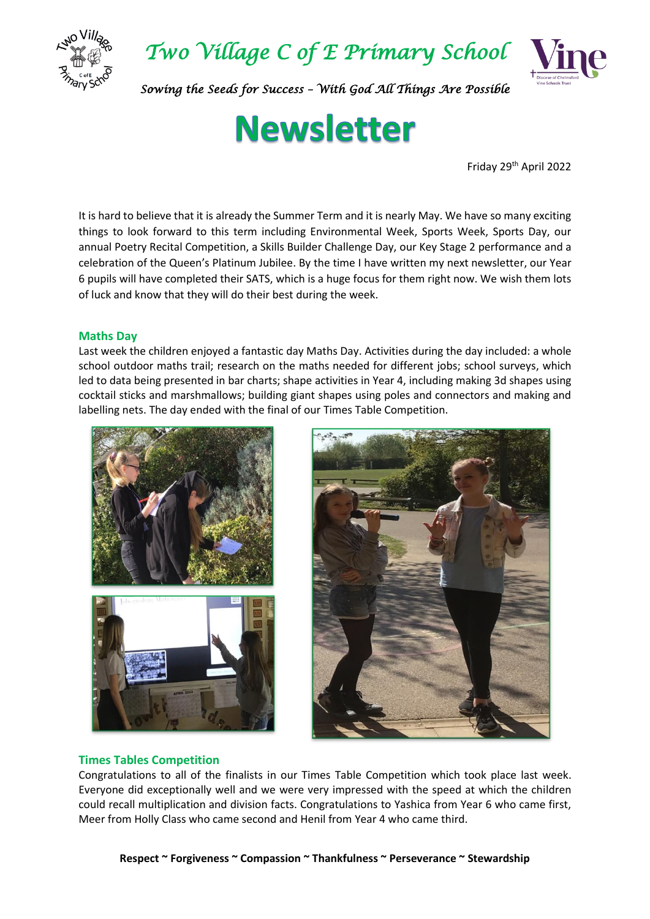



*Sowing the Seeds for Success – With God All Things Are Possible* 



Friday 29th April 2022

It is hard to believe that it is already the Summer Term and it is nearly May. We have so many exciting things to look forward to this term including Environmental Week, Sports Week, Sports Day, our annual Poetry Recital Competition, a Skills Builder Challenge Day, our Key Stage 2 performance and a celebration of the Queen's Platinum Jubilee. By the time I have written my next newsletter, our Year 6 pupils will have completed their SATS, which is a huge focus for them right now. We wish them lots of luck and know that they will do their best during the week.

## **Maths Day**

Last week the children enjoyed a fantastic day Maths Day. Activities during the day included: a whole school outdoor maths trail; research on the maths needed for different jobs; school surveys, which led to data being presented in bar charts; shape activities in Year 4, including making 3d shapes using cocktail sticks and marshmallows; building giant shapes using poles and connectors and making and labelling nets. The day ended with the final of our Times Table Competition.





## **Times Tables Competition**

Congratulations to all of the finalists in our Times Table Competition which took place last week. Everyone did exceptionally well and we were very impressed with the speed at which the children could recall multiplication and division facts. Congratulations to Yashica from Year 6 who came first, Meer from Holly Class who came second and Henil from Year 4 who came third.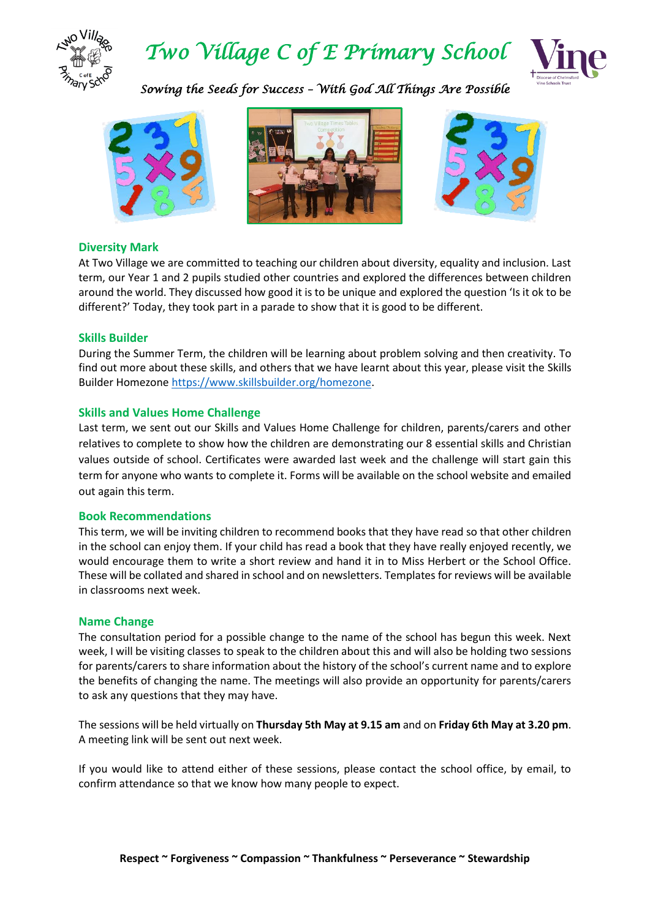



*Sowing the Seeds for Success – With God All Things Are Possible* 



## **Diversity Mark**

At Two Village we are committed to teaching our children about diversity, equality and inclusion. Last term, our Year 1 and 2 pupils studied other countries and explored the differences between children around the world. They discussed how good it is to be unique and explored the question 'Is it ok to be different?' Today, they took part in a parade to show that it is good to be different.

## **Skills Builder**

During the Summer Term, the children will be learning about problem solving and then creativity. To find out more about these skills, and others that we have learnt about this year, please visit the Skills Builder Homezone [https://www.skillsbuilder.org/homezone.](https://www.skillsbuilder.org/homezone)

## **Skills and Values Home Challenge**

Last term, we sent out our Skills and Values Home Challenge for children, parents/carers and other relatives to complete to show how the children are demonstrating our 8 essential skills and Christian values outside of school. Certificates were awarded last week and the challenge will start gain this term for anyone who wants to complete it. Forms will be available on the school website and emailed out again this term.

#### **Book Recommendations**

This term, we will be inviting children to recommend books that they have read so that other children in the school can enjoy them. If your child has read a book that they have really enjoyed recently, we would encourage them to write a short review and hand it in to Miss Herbert or the School Office. These will be collated and shared in school and on newsletters. Templates for reviews will be available in classrooms next week.

#### **Name Change**

The consultation period for a possible change to the name of the school has begun this week. Next week, I will be visiting classes to speak to the children about this and will also be holding two sessions for parents/carers to share information about the history of the school's current name and to explore the benefits of changing the name. The meetings will also provide an opportunity for parents/carers to ask any questions that they may have.

The sessions will be held virtually on **Thursday 5th May at 9.15 am** and on **Friday 6th May at 3.20 pm**. A meeting link will be sent out next week.

If you would like to attend either of these sessions, please contact the school office, by email, to confirm attendance so that we know how many people to expect.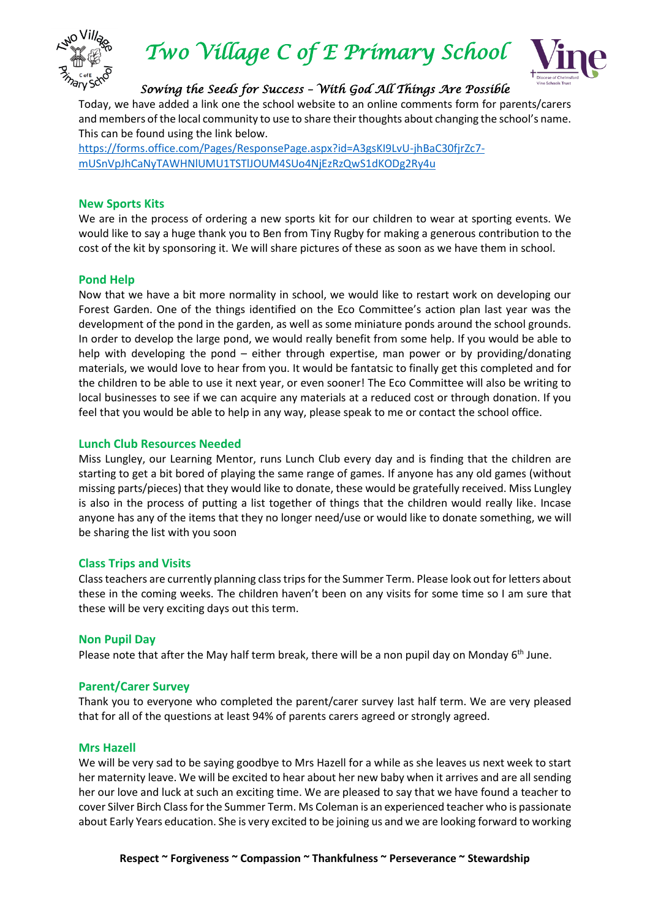



# *Sowing the Seeds for Success – With God All Things Are Possible*

Today, we have added a link one the school website to an online comments form for parents/carers and members of the local community to use to share their thoughts about changing the school's name. This can be found using the link below.

[https://forms.office.com/Pages/ResponsePage.aspx?id=A3gsKI9LvU-jhBaC30fjrZc7](https://forms.office.com/Pages/ResponsePage.aspx?id=A3gsKI9LvU-jhBaC30fjrZc7-mUSnVpJhCaNyTAWHNlUMU1TSTlJOUM4SUo4NjEzRzQwS1dKODg2Ry4u) [mUSnVpJhCaNyTAWHNlUMU1TSTlJOUM4SUo4NjEzRzQwS1dKODg2Ry4u](https://forms.office.com/Pages/ResponsePage.aspx?id=A3gsKI9LvU-jhBaC30fjrZc7-mUSnVpJhCaNyTAWHNlUMU1TSTlJOUM4SUo4NjEzRzQwS1dKODg2Ry4u)

#### **New Sports Kits**

We are in the process of ordering a new sports kit for our children to wear at sporting events. We would like to say a huge thank you to Ben from Tiny Rugby for making a generous contribution to the cost of the kit by sponsoring it. We will share pictures of these as soon as we have them in school.

## **Pond Help**

Now that we have a bit more normality in school, we would like to restart work on developing our Forest Garden. One of the things identified on the Eco Committee's action plan last year was the development of the pond in the garden, as well as some miniature ponds around the school grounds. In order to develop the large pond, we would really benefit from some help. If you would be able to help with developing the pond – either through expertise, man power or by providing/donating materials, we would love to hear from you. It would be fantatsic to finally get this completed and for the children to be able to use it next year, or even sooner! The Eco Committee will also be writing to local businesses to see if we can acquire any materials at a reduced cost or through donation. If you feel that you would be able to help in any way, please speak to me or contact the school office.

## **Lunch Club Resources Needed**

Miss Lungley, our Learning Mentor, runs Lunch Club every day and is finding that the children are starting to get a bit bored of playing the same range of games. If anyone has any old games (without missing parts/pieces) that they would like to donate, these would be gratefully received. Miss Lungley is also in the process of putting a list together of things that the children would really like. Incase anyone has any of the items that they no longer need/use or would like to donate something, we will be sharing the list with you soon

#### **Class Trips and Visits**

Class teachers are currently planning class tripsfor the Summer Term. Please look out for letters about these in the coming weeks. The children haven't been on any visits for some time so I am sure that these will be very exciting days out this term.

#### **Non Pupil Day**

Please note that after the May half term break, there will be a non pupil day on Monday 6<sup>th</sup> June.

#### **Parent/Carer Survey**

Thank you to everyone who completed the parent/carer survey last half term. We are very pleased that for all of the questions at least 94% of parents carers agreed or strongly agreed.

#### **Mrs Hazell**

We will be very sad to be saying goodbye to Mrs Hazell for a while as she leaves us next week to start her maternity leave. We will be excited to hear about her new baby when it arrives and are all sending her our love and luck at such an exciting time. We are pleased to say that we have found a teacher to cover Silver Birch Class for the Summer Term. Ms Coleman is an experienced teacher who is passionate about Early Years education. She is very excited to be joining us and we are looking forward to working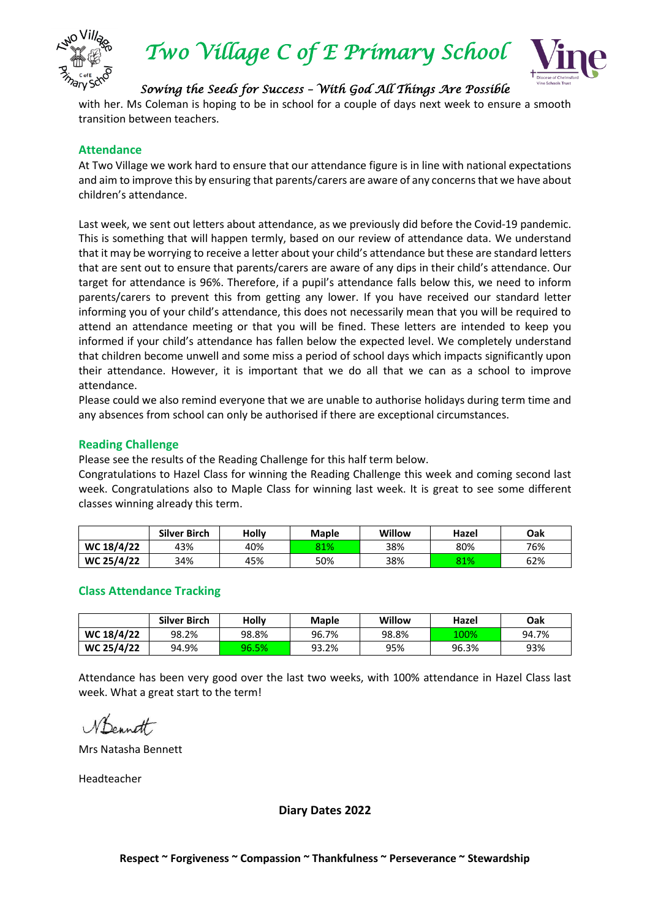

*Two Village C of E Primary School* 



# *Sowing the Seeds for Success – With God All Things Are Possible*

with her. Ms Coleman is hoping to be in school for a couple of days next week to ensure a smooth transition between teachers.

## **Attendance**

At Two Village we work hard to ensure that our attendance figure is in line with national expectations and aim to improve this by ensuring that parents/carers are aware of any concerns that we have about children's attendance.

Last week, we sent out letters about attendance, as we previously did before the Covid-19 pandemic. This is something that will happen termly, based on our review of attendance data. We understand that it may be worrying to receive a letter about your child's attendance but these are standard letters that are sent out to ensure that parents/carers are aware of any dips in their child's attendance. Our target for attendance is 96%. Therefore, if a pupil's attendance falls below this, we need to inform parents/carers to prevent this from getting any lower. If you have received our standard letter informing you of your child's attendance, this does not necessarily mean that you will be required to attend an attendance meeting or that you will be fined. These letters are intended to keep you informed if your child's attendance has fallen below the expected level. We completely understand that children become unwell and some miss a period of school days which impacts significantly upon their attendance. However, it is important that we do all that we can as a school to improve attendance.

Please could we also remind everyone that we are unable to authorise holidays during term time and any absences from school can only be authorised if there are exceptional circumstances.

## **Reading Challenge**

Please see the results of the Reading Challenge for this half term below.

Congratulations to Hazel Class for winning the Reading Challenge this week and coming second last week. Congratulations also to Maple Class for winning last week. It is great to see some different classes winning already this term.

|            | <b>Silver Birch</b> | Hollv | <b>Maple</b> | Willow | Hazei | Oak |
|------------|---------------------|-------|--------------|--------|-------|-----|
| WC 18/4/22 | 43%                 | 40%   | 81%          | 38%    | 80%   | 76% |
| WC 25/4/22 | 34%                 | 45%   | 50%          | 38%    | 81%   | 62% |

#### **Class Attendance Tracking**

|            | <b>Silver Birch</b> | Hollv | <b>Maple</b> | Willow | Hazel | Oak   |
|------------|---------------------|-------|--------------|--------|-------|-------|
| WC 18/4/22 | 98.2%               | 98.8% | 96.7%        | 98.8%  | 100%  | 94.7% |
| WC 25/4/22 | 94.9%               | 96.5% | 93.2%        | 95%    | 96.3% | 93%   |

Attendance has been very good over the last two weeks, with 100% attendance in Hazel Class last week. What a great start to the term!

Wennett

Mrs Natasha Bennett

Headteacher

**Diary Dates 2022**